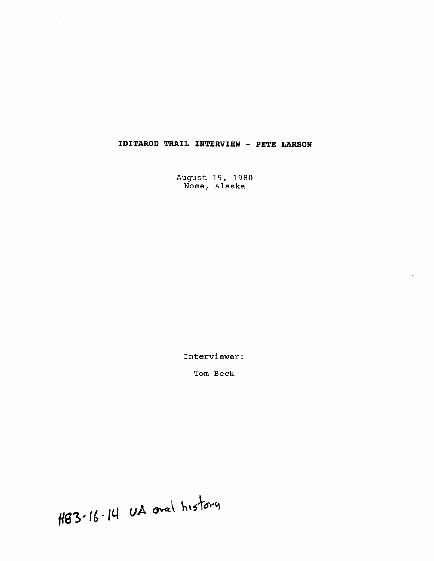## **IDITAROD TRAIL INTERVIEW** - **PETE LARSON**

August 19, 1980 Nome, Alaska

Interviewer:

Tom Beck

H83-16-14 UA oval history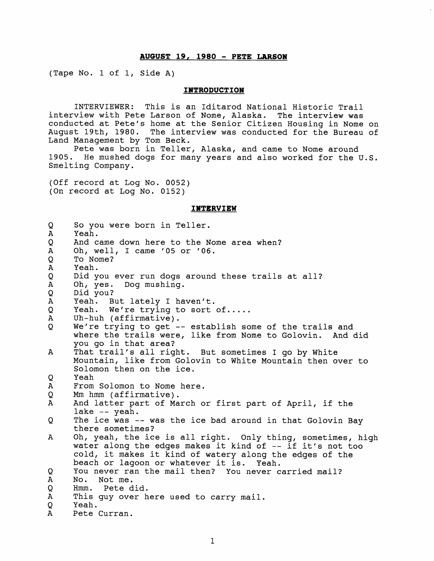## **AUGUST 19, 1980** - **PETE LARSON**

(Tape No. 1 of 1, Side A)

## **INTRODUCTION**

INTERVIEWER: This is an Iditarod National Historic Trail interview with Pete Larson of Nome, Alaska. The interview was conducted at Pete's home at the Senior Citizen Housing in Nome on August 19th, 1980. The interview was conducted for the Bureau of Land Management by Tom Beck.

Pete was born in Teller, Alaska, and came to Nome around 1905. He mushed dogs for many years and also worked for the U.S. Smelting Company.

(Off record at Log No. 0052) (On record at Log No. 0152)

## **INTERVIEW**

| Q            | So you were born in Teller.                                 |
|--------------|-------------------------------------------------------------|
| $\mathbf{A}$ | Yeah.                                                       |
| Q            | And came down here to the Nome area when?                   |
| $\mathbf{A}$ | Oh, well, I came '05 or '06.                                |
| Q            | To Nome?                                                    |
| $\mathbf A$  | Yeah.                                                       |
| Q            | Did you ever run dogs around these trails at all?           |
| A            | Dog mushing.<br>Oh, yes.                                    |
| Q            | Did you?                                                    |
| $\mathbf{A}$ | Yeah. But lately I haven't.                                 |
| Q            | Yeah. We're trying to sort of                               |
| $\mathbf{A}$ | Uh-huh (affirmative).                                       |
| Q            | We're trying to get -- establish some of the trails and     |
|              | where the trails were, like from Nome to Golovin. And did   |
|              | you go in that area?                                        |
| A            | That trail's all right. But sometimes I go by White         |
|              | Mountain, like from Golovin to White Mountain then over to  |
|              | Solomon then on the ice.                                    |
| Q            | Yeah                                                        |
| A            | From Solomon to Nome here.                                  |
| Q            | Mm hmm (affirmative).                                       |
| $\mathbf{A}$ | And latter part of March or first part of April, if the     |
|              | lake $-$ yeah.                                              |
| Q            | The ice was -- was the ice bad around in that Golovin Bay   |
|              | there sometimes?                                            |
| A            | Oh, yeah, the ice is all right. Only thing, sometimes, high |
|              | water along the edges makes it kind of -- if it's not too   |
|              | cold, it makes it kind of watery along the edges of the     |
|              | beach or lagoon or whatever it is. Yeah.                    |
| Q            | You never ran the mail then? You never carried mail?        |
| A            | No. Not me.                                                 |
| Q            | Hmm. Pete did.                                              |
| $\mathbf{A}$ | This guy over here used to carry mail.                      |
| Q            | Yeah.                                                       |
| $\mathbf{A}$ | Pete Curran.                                                |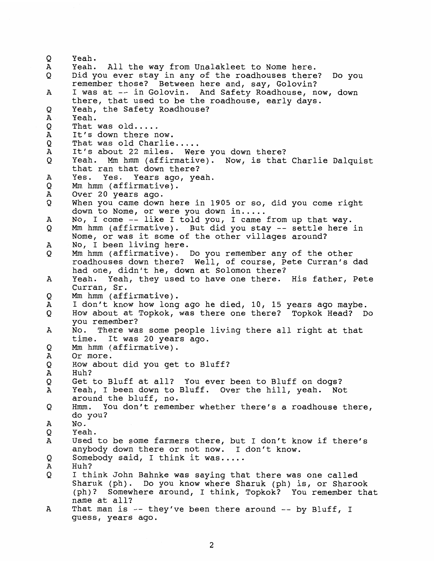Q Yeah. Yeah. All the way from Unalakleet to Nome here. A Did you ever stay in any of the roadhouses there? Do you O remember those? Between here and, say, Golovin? A I was at -- in Golovin. And Safety Roadhouse, now, down there, that used to be the roadhouse, early days. Yeah, the Safety Roadhouse? Q Yeah. А That was old.....<br>It's down there now.<br>That was old Charlie..... Q Ά Q It's about 22 miles. Were you down there? Α Q Yeah. Mm hmm (affirmative). Now, is that Charlie Dalquist that ran that down there?  $\overline{A}$ Yes. Yes. Years ago, yeah. **Mm** hmm (affirmative). O Α Over 20 years ago. When you came down here in 1905 or so, did you come right Q down to Nome, or were you down in.....<br>No, I come -- like I told you, I came from up that way.  $\mathbf{A}$ Mm hmm (affirmative). But did you stay -- settle here in O Nome, or was it some of the other villages around? A No, I been living here. Mm hmm (affirmative). Do you remember any of the other O roadhouses down there? Well, of course, Pete Curran's dad had one, didn't he, down at Solomon there? Yeah. Yeah, they used to have one there. His father, Pete A Curran, Sr. Mm hmm (affirmative). Q I don't know how long ago he died, 10, 15 years ago maybe. Α How about at Topkok, was there one there? Topkok Head? Do O you remember? No. There was some people living there all right at that Α time. It was 20 years ago. Mm hmm (affirmative). Q A Or more. How about did you get to Bluff? Q Α Huh? Get to Bluff at all? You ever been to Bluff on dogs? Q Yeah, I been down to Bluff. Over the hill, yeah. Not Α around the bluff, no. Hmm. You don't remember whether there's a roadhouse there, Q do you? No. А O Yeah. Used to be some farmers there, but I don't know if there's А anybody down there or not now. I don't know. O Somebody said, I think it was..... Huh? Α Q I think John Bahnke was saying that there was one called Sharuk (ph). Do you know where Sharuk (ph) is, or Sharook (ph)? Somewhere around, I think, Topkok? You remember that name at all? А That man is -- they've been there around -- by Bluff, I guess, years ago.